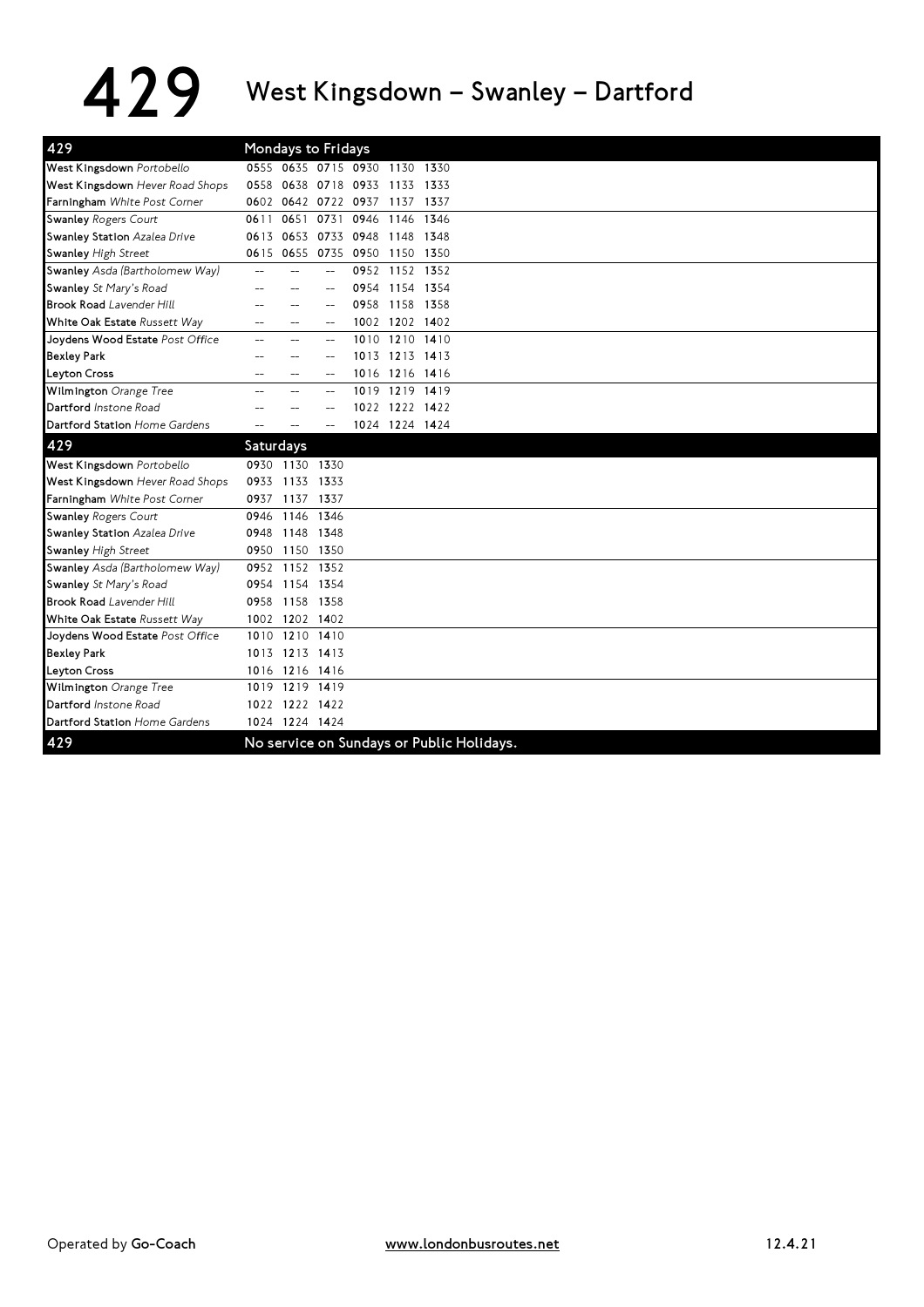## 429 West Kingsdown – Swanley – Dartford

| 429                             |           |                | Mondays to Fridays  |                                           |                |      |
|---------------------------------|-----------|----------------|---------------------|-------------------------------------------|----------------|------|
| West Kingsdown Portobello       |           |                |                     | 0555 0635 0715 0930 1130 1330             |                |      |
| West Kingsdown Hever Road Shops | 0558      |                | 0638 0718 0933      |                                           | 1133 1333      |      |
| Farningham White Post Corner    |           |                | 0602 0642 0722 0937 |                                           | 1137           | 1337 |
| <b>Swanley Rogers Court</b>     | 0611      | 0651           | 0731                | 0946                                      | 1146 1346      |      |
| Swanley Station Azalea Drive    | 0613      | 0653           | 0733 0948           |                                           | 1148 1348      |      |
| <b>Swanley High Street</b>      |           | 0615 0655      |                     | 0735 0950 1150 1350                       |                |      |
| Swanley Asda (Bartholomew Way)  | $\sim$    |                | $\overline{a}$      |                                           | 0952 1152 1352 |      |
| Swanley St Mary's Road          |           |                |                     | 0954                                      | 1154 1354      |      |
| <b>Brook Road Lavender Hill</b> |           |                |                     | 0958                                      | 1158 1358      |      |
| White Oak Estate Russett Way    |           |                |                     |                                           | 1002 1202 1402 |      |
| Joydens Wood Estate Post Office |           | $\overline{a}$ |                     | 1010                                      | 1210 1410      |      |
| <b>Bexley Park</b>              |           |                |                     |                                           | 1013 1213 1413 |      |
| <b>Leyton Cross</b>             |           | --             |                     |                                           | 1016 1216 1416 |      |
| Wilmington Orange Tree          |           | $-$            |                     |                                           | 1019 1219 1419 |      |
| Dartford Instone Road           |           |                |                     |                                           | 1022 1222 1422 |      |
| Dartford Station Home Gardens   |           |                | $-$                 |                                           | 1024 1224 1424 |      |
| 429                             | Saturdays |                |                     |                                           |                |      |
| West Kingsdown Portobello       |           | 0930 1130 1330 |                     |                                           |                |      |
| West Kingsdown Hever Road Shops | 0933      |                | 1133 1333           |                                           |                |      |
| Farningham White Post Corner    | 0937      |                | 1137 1337           |                                           |                |      |
| <b>Swanley Rogers Court</b>     |           | 0946 1146 1346 |                     |                                           |                |      |
| Swanley Station Azalea Drive    | 0948      | 1148 1348      |                     |                                           |                |      |
| <b>Swanley High Street</b>      |           | 0950 1150 1350 |                     |                                           |                |      |
| Swanley Asda (Bartholomew Way)  |           | 0952 1152 1352 |                     |                                           |                |      |
| Swanley St Mary's Road          |           | 0954 1154 1354 |                     |                                           |                |      |
| <b>Brook Road Lavender Hill</b> | 0958      | 1158 1358      |                     |                                           |                |      |
| White Oak Estate Russett Way    |           | 1002 1202 1402 |                     |                                           |                |      |
| Joydens Wood Estate Post Office | 1010      |                | 1210 1410           |                                           |                |      |
| <b>Bexley Park</b>              |           | 1013 1213 1413 |                     |                                           |                |      |
| <b>Leyton Cross</b>             |           | 1016 1216 1416 |                     |                                           |                |      |
| Wilmington Orange Tree          |           | 1019 1219 1419 |                     |                                           |                |      |
| Dartford Instone Road           |           | 1022 1222 1422 |                     |                                           |                |      |
| Dartford Station Home Gardens   |           | 1024 1224 1424 |                     |                                           |                |      |
|                                 |           |                |                     |                                           |                |      |
| 429                             |           |                |                     | No service on Sundays or Public Holidays. |                |      |